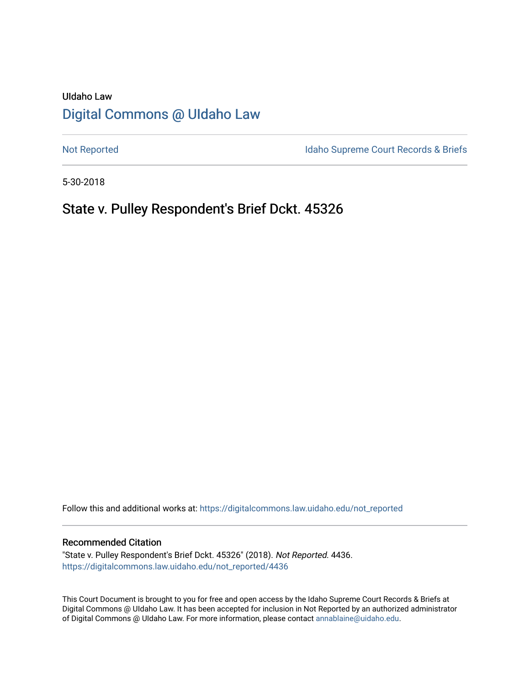# UIdaho Law [Digital Commons @ UIdaho Law](https://digitalcommons.law.uidaho.edu/)

[Not Reported](https://digitalcommons.law.uidaho.edu/not_reported) **Idaho Supreme Court Records & Briefs** 

5-30-2018

## State v. Pulley Respondent's Brief Dckt. 45326

Follow this and additional works at: [https://digitalcommons.law.uidaho.edu/not\\_reported](https://digitalcommons.law.uidaho.edu/not_reported?utm_source=digitalcommons.law.uidaho.edu%2Fnot_reported%2F4436&utm_medium=PDF&utm_campaign=PDFCoverPages) 

#### Recommended Citation

"State v. Pulley Respondent's Brief Dckt. 45326" (2018). Not Reported. 4436. [https://digitalcommons.law.uidaho.edu/not\\_reported/4436](https://digitalcommons.law.uidaho.edu/not_reported/4436?utm_source=digitalcommons.law.uidaho.edu%2Fnot_reported%2F4436&utm_medium=PDF&utm_campaign=PDFCoverPages)

This Court Document is brought to you for free and open access by the Idaho Supreme Court Records & Briefs at Digital Commons @ UIdaho Law. It has been accepted for inclusion in Not Reported by an authorized administrator of Digital Commons @ UIdaho Law. For more information, please contact [annablaine@uidaho.edu](mailto:annablaine@uidaho.edu).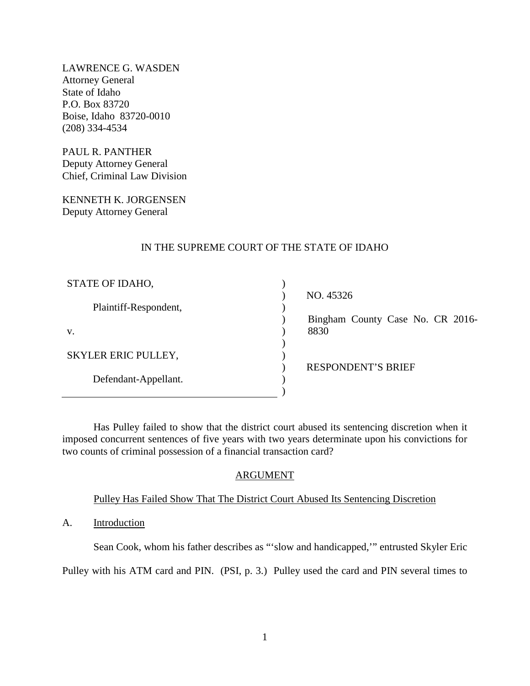LAWRENCE G. WASDEN Attorney General State of Idaho P.O. Box 83720 Boise, Idaho 83720-0010 (208) 334-4534

PAUL R. PANTHER Deputy Attorney General Chief, Criminal Law Division

KENNETH K. JORGENSEN Deputy Attorney General

### IN THE SUPREME COURT OF THE STATE OF IDAHO

| STATE OF IDAHO,       |  |
|-----------------------|--|
| Plaintiff-Respondent, |  |
| $V_{-}$               |  |
| SKYLER ERIC PULLEY,   |  |
| Defendant-Appellant.  |  |
|                       |  |

 NO. 45326 Bingham County Case No. CR 2016- 8830

RESPONDENT'S BRIEF

Has Pulley failed to show that the district court abused its sentencing discretion when it imposed concurrent sentences of five years with two years determinate upon his convictions for two counts of criminal possession of a financial transaction card?

### ARGUMENT

### Pulley Has Failed Show That The District Court Abused Its Sentencing Discretion

A. Introduction

Sean Cook, whom his father describes as "'slow and handicapped,'" entrusted Skyler Eric

Pulley with his ATM card and PIN. (PSI, p. 3.) Pulley used the card and PIN several times to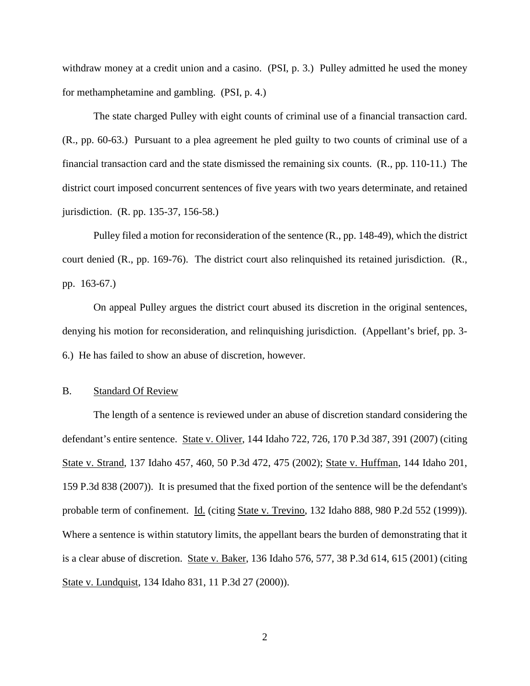withdraw money at a credit union and a casino. (PSI, p. 3.) Pulley admitted he used the money for methamphetamine and gambling. (PSI, p. 4.)

The state charged Pulley with eight counts of criminal use of a financial transaction card. (R., pp. 60-63.) Pursuant to a plea agreement he pled guilty to two counts of criminal use of a financial transaction card and the state dismissed the remaining six counts. (R., pp. 110-11.) The district court imposed concurrent sentences of five years with two years determinate, and retained jurisdiction. (R. pp. 135-37, 156-58.)

Pulley filed a motion for reconsideration of the sentence (R., pp. 148-49), which the district court denied (R., pp. 169-76). The district court also relinquished its retained jurisdiction. (R., pp. 163-67.)

On appeal Pulley argues the district court abused its discretion in the original sentences, denying his motion for reconsideration, and relinquishing jurisdiction. (Appellant's brief, pp. 3- 6.) He has failed to show an abuse of discretion, however.

### B. Standard Of Review

The length of a sentence is reviewed under an abuse of discretion standard considering the defendant's entire sentence. State v. Oliver, 144 Idaho 722, 726, 170 P.3d 387, 391 (2007) (citing State v. Strand, 137 Idaho 457, 460, 50 P.3d 472, 475 (2002); State v. Huffman, 144 Idaho 201, 159 P.3d 838 (2007)). It is presumed that the fixed portion of the sentence will be the defendant's probable term of confinement. Id. (citing State v. Trevino, 132 Idaho 888, 980 P.2d 552 (1999)). Where a sentence is within statutory limits, the appellant bears the burden of demonstrating that it is a clear abuse of discretion. State v. Baker, 136 Idaho 576, 577, 38 P.3d 614, 615 (2001) (citing State v. Lundquist, 134 Idaho 831, 11 P.3d 27 (2000)).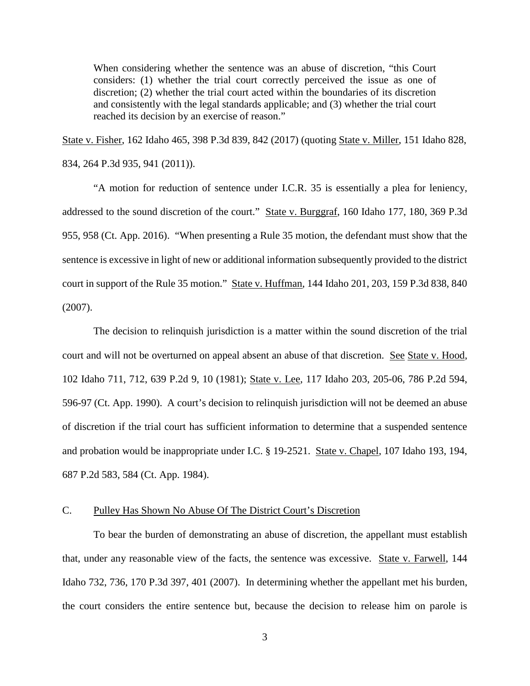When considering whether the sentence was an abuse of discretion, "this Court considers: (1) whether the trial court correctly perceived the issue as one of discretion; (2) whether the trial court acted within the boundaries of its discretion and consistently with the legal standards applicable; and (3) whether the trial court reached its decision by an exercise of reason."

State v. Fisher, 162 Idaho 465, 398 P.3d 839, 842 (2017) (quoting State v. Miller, 151 Idaho 828, 834, 264 P.3d 935, 941 (2011)).

"A motion for reduction of sentence under I.C.R. 35 is essentially a plea for leniency, addressed to the sound discretion of the court." State v. Burggraf, 160 Idaho 177, 180, 369 P.3d 955, 958 (Ct. App. 2016). "When presenting a Rule 35 motion, the defendant must show that the sentence is excessive in light of new or additional information subsequently provided to the district court in support of the Rule 35 motion." State v. Huffman, 144 Idaho 201, 203, 159 P.3d 838, 840 (2007).

The decision to relinquish jurisdiction is a matter within the sound discretion of the trial court and will not be overturned on appeal absent an abuse of that discretion. See State v. Hood, 102 Idaho 711, 712, 639 P.2d 9, 10 (1981); State v. Lee, 117 Idaho 203, 205-06, 786 P.2d 594, 596-97 (Ct. App. 1990). A court's decision to relinquish jurisdiction will not be deemed an abuse of discretion if the trial court has sufficient information to determine that a suspended sentence and probation would be inappropriate under I.C. § 19-2521. State v. Chapel, 107 Idaho 193, 194, 687 P.2d 583, 584 (Ct. App. 1984).

#### C. Pulley Has Shown No Abuse Of The District Court's Discretion

To bear the burden of demonstrating an abuse of discretion, the appellant must establish that, under any reasonable view of the facts, the sentence was excessive. State v. Farwell, 144 Idaho 732, 736, 170 P.3d 397, 401 (2007). In determining whether the appellant met his burden, the court considers the entire sentence but, because the decision to release him on parole is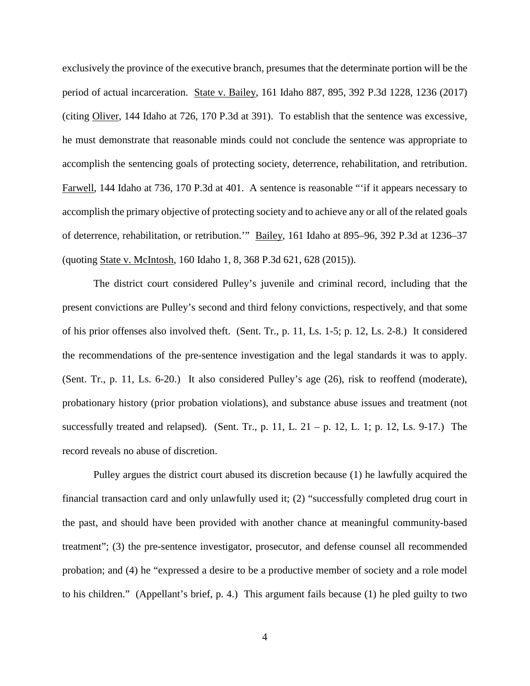exclusively the province of the executive branch, presumes that the determinate portion will be the period of actual incarceration. State v. Bailey, 161 Idaho 887, 895, 392 P.3d 1228, 1236 (2017) (citing Oliver, 144 Idaho at 726, 170 P.3d at 391). To establish that the sentence was excessive, he must demonstrate that reasonable minds could not conclude the sentence was appropriate to accomplish the sentencing goals of protecting society, deterrence, rehabilitation, and retribution. Farwell, 144 Idaho at 736, 170 P.3d at 401. A sentence is reasonable "'if it appears necessary to accomplish the primary objective of protecting society and to achieve any or all of the related goals of deterrence, rehabilitation, or retribution.'" Bailey, 161 Idaho at 895–96, 392 P.3d at 1236–37 (quoting State v. McIntosh, 160 Idaho 1, 8, 368 P.3d 621, 628 (2015)).

The district court considered Pulley's juvenile and criminal record, including that the present convictions are Pulley's second and third felony convictions, respectively, and that some of his prior offenses also involved theft. (Sent. Tr., p. 11, Ls. 1-5; p. 12, Ls. 2-8.) It considered the recommendations of the pre-sentence investigation and the legal standards it was to apply. (Sent. Tr., p. 11, Ls. 6-20.) It also considered Pulley's age (26), risk to reoffend (moderate), probationary history (prior probation violations), and substance abuse issues and treatment (not successfully treated and relapsed). (Sent. Tr., p. 11, L.  $21 - p$ . 12, L. 1; p. 12, Ls. 9-17.) The record reveals no abuse of discretion.

Pulley argues the district court abused its discretion because (1) he lawfully acquired the financial transaction card and only unlawfully used it; (2) "successfully completed drug court in the past, and should have been provided with another chance at meaningful community-based treatment"; (3) the pre-sentence investigator, prosecutor, and defense counsel all recommended probation; and (4) he "expressed a desire to be a productive member of society and a role model to his children." (Appellant's brief, p. 4.) This argument fails because (1) he pled guilty to two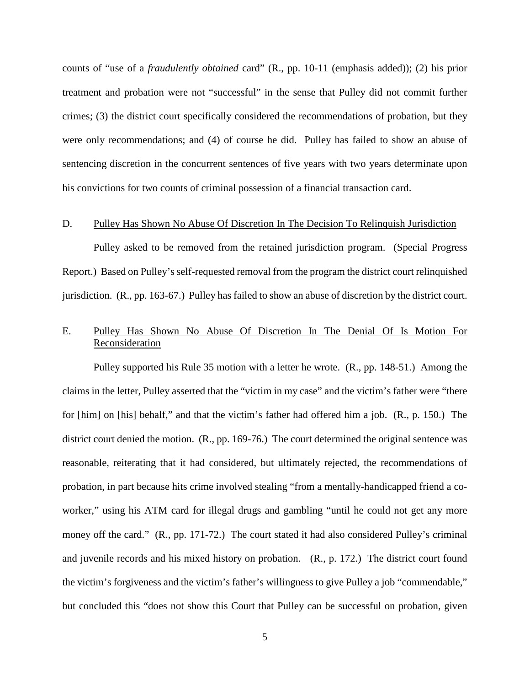counts of "use of a *fraudulently obtained* card" (R., pp. 10-11 (emphasis added)); (2) his prior treatment and probation were not "successful" in the sense that Pulley did not commit further crimes; (3) the district court specifically considered the recommendations of probation, but they were only recommendations; and (4) of course he did. Pulley has failed to show an abuse of sentencing discretion in the concurrent sentences of five years with two years determinate upon his convictions for two counts of criminal possession of a financial transaction card.

#### D. Pulley Has Shown No Abuse Of Discretion In The Decision To Relinquish Jurisdiction

Pulley asked to be removed from the retained jurisdiction program. (Special Progress Report.) Based on Pulley's self-requested removal from the program the district court relinquished jurisdiction. (R., pp. 163-67.) Pulley has failed to show an abuse of discretion by the district court.

### E. Pulley Has Shown No Abuse Of Discretion In The Denial Of Is Motion For Reconsideration

Pulley supported his Rule 35 motion with a letter he wrote. (R., pp. 148-51.) Among the claims in the letter, Pulley asserted that the "victim in my case" and the victim's father were "there for [him] on [his] behalf," and that the victim's father had offered him a job. (R., p. 150.) The district court denied the motion. (R., pp. 169-76.) The court determined the original sentence was reasonable, reiterating that it had considered, but ultimately rejected, the recommendations of probation, in part because hits crime involved stealing "from a mentally-handicapped friend a coworker," using his ATM card for illegal drugs and gambling "until he could not get any more money off the card." (R., pp. 171-72.) The court stated it had also considered Pulley's criminal and juvenile records and his mixed history on probation. (R., p. 172.) The district court found the victim's forgiveness and the victim's father's willingness to give Pulley a job "commendable," but concluded this "does not show this Court that Pulley can be successful on probation, given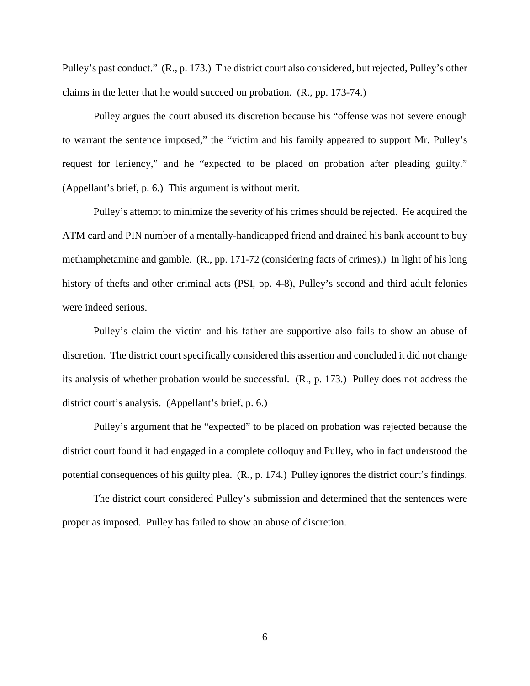Pulley's past conduct." (R., p. 173.) The district court also considered, but rejected, Pulley's other claims in the letter that he would succeed on probation. (R., pp. 173-74.)

Pulley argues the court abused its discretion because his "offense was not severe enough to warrant the sentence imposed," the "victim and his family appeared to support Mr. Pulley's request for leniency," and he "expected to be placed on probation after pleading guilty." (Appellant's brief, p. 6.) This argument is without merit.

Pulley's attempt to minimize the severity of his crimes should be rejected. He acquired the ATM card and PIN number of a mentally-handicapped friend and drained his bank account to buy methamphetamine and gamble. (R., pp. 171-72 (considering facts of crimes).) In light of his long history of thefts and other criminal acts (PSI, pp. 4-8), Pulley's second and third adult felonies were indeed serious.

Pulley's claim the victim and his father are supportive also fails to show an abuse of discretion. The district court specifically considered this assertion and concluded it did not change its analysis of whether probation would be successful. (R., p. 173.) Pulley does not address the district court's analysis. (Appellant's brief, p. 6.)

Pulley's argument that he "expected" to be placed on probation was rejected because the district court found it had engaged in a complete colloquy and Pulley, who in fact understood the potential consequences of his guilty plea. (R., p. 174.) Pulley ignores the district court's findings.

The district court considered Pulley's submission and determined that the sentences were proper as imposed. Pulley has failed to show an abuse of discretion.